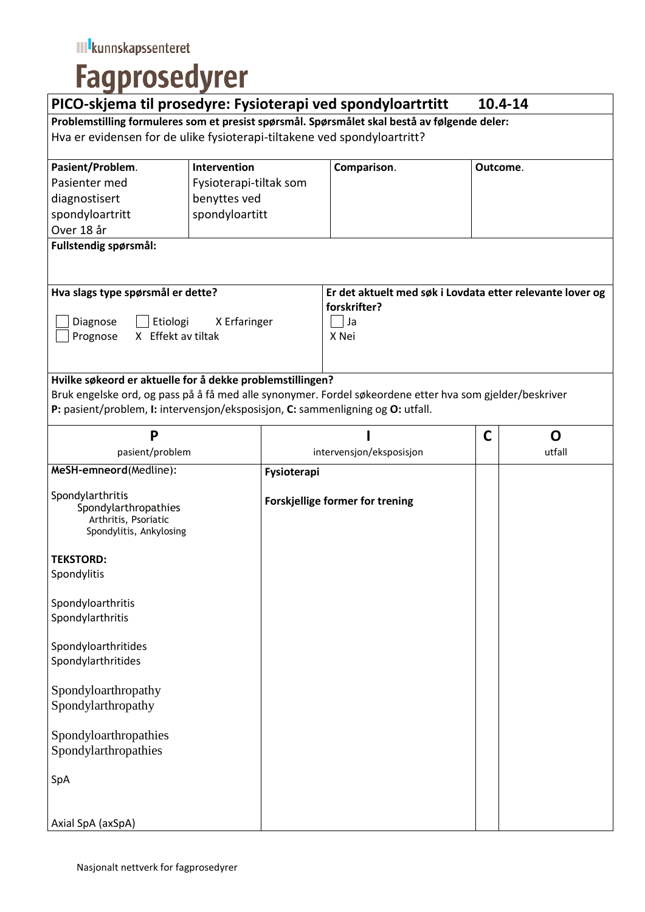## **Fagprosedyrer**

| PICO-skjema til prosedyre: Fysioterapi ved spondyloartrtitt                                                                                                                                 |                        |                                 |                                                                                          | 10.4-14  |        |
|---------------------------------------------------------------------------------------------------------------------------------------------------------------------------------------------|------------------------|---------------------------------|------------------------------------------------------------------------------------------|----------|--------|
| Problemstilling formuleres som et presist spørsmål. Spørsmålet skal bestå av følgende deler:                                                                                                |                        |                                 |                                                                                          |          |        |
| Hva er evidensen for de ulike fysioterapi-tiltakene ved spondyloartritt?                                                                                                                    |                        |                                 |                                                                                          |          |        |
| Pasient/Problem.                                                                                                                                                                            | Intervention           |                                 | Comparison.                                                                              | Outcome. |        |
| Pasienter med                                                                                                                                                                               | Fysioterapi-tiltak som |                                 |                                                                                          |          |        |
| diagnostisert                                                                                                                                                                               | benyttes ved           |                                 |                                                                                          |          |        |
| spondyloartritt                                                                                                                                                                             | spondyloartitt         |                                 |                                                                                          |          |        |
| Over 18 år                                                                                                                                                                                  |                        |                                 |                                                                                          |          |        |
| Fullstendig spørsmål:                                                                                                                                                                       |                        |                                 |                                                                                          |          |        |
| Hva slags type spørsmål er dette?<br>Diagnose<br>Etiologi<br>X Effekt av tiltak<br>Prognose                                                                                                 | X Erfaringer           |                                 | Er det aktuelt med søk i Lovdata etter relevante lover og<br>forskrifter?<br>Ja<br>X Nei |          |        |
| Hvilke søkeord er aktuelle for å dekke problemstillingen?                                                                                                                                   |                        |                                 |                                                                                          |          |        |
| Bruk engelske ord, og pass på å få med alle synonymer. Fordel søkeordene etter hva som gjelder/beskriver<br>P: pasient/problem, I: intervensjon/eksposisjon, C: sammenligning og O: utfall. |                        |                                 |                                                                                          |          |        |
| P                                                                                                                                                                                           |                        |                                 |                                                                                          | C        | O      |
| pasient/problem                                                                                                                                                                             |                        | intervensjon/eksposisjon        |                                                                                          |          | utfall |
| MeSH-emneord(Medline):                                                                                                                                                                      |                        | Fysioterapi                     |                                                                                          |          |        |
| Spondylarthritis<br>Spondylarthropathies<br>Arthritis, Psoriatic<br>Spondylitis, Ankylosing                                                                                                 |                        | Forskjellige former for trening |                                                                                          |          |        |
| <b>TEKSTORD:</b>                                                                                                                                                                            |                        |                                 |                                                                                          |          |        |
| Spondylitis                                                                                                                                                                                 |                        |                                 |                                                                                          |          |        |
| Spondyloarthritis                                                                                                                                                                           |                        |                                 |                                                                                          |          |        |
| Spondylarthritis                                                                                                                                                                            |                        |                                 |                                                                                          |          |        |
| Spondyloarthritides                                                                                                                                                                         |                        |                                 |                                                                                          |          |        |
| Spondylarthritides                                                                                                                                                                          |                        |                                 |                                                                                          |          |        |
| Spondyloarthropathy                                                                                                                                                                         |                        |                                 |                                                                                          |          |        |
| Spondylarthropathy                                                                                                                                                                          |                        |                                 |                                                                                          |          |        |
| Spondyloarthropathies                                                                                                                                                                       |                        |                                 |                                                                                          |          |        |
| Spondylarthropathies                                                                                                                                                                        |                        |                                 |                                                                                          |          |        |
| SpA                                                                                                                                                                                         |                        |                                 |                                                                                          |          |        |
| Axial SpA (axSpA)                                                                                                                                                                           |                        |                                 |                                                                                          |          |        |